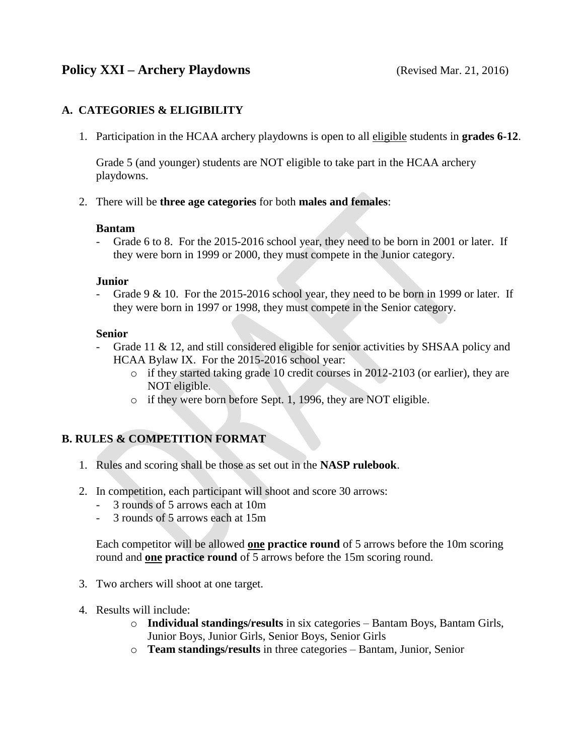# **Policy XXI – Archery Playdowns** (Revised Mar. 21, 2016)

### **A. CATEGORIES & ELIGIBILITY**

1. Participation in the HCAA archery playdowns is open to all eligible students in **grades 6-12**.

Grade 5 (and younger) students are NOT eligible to take part in the HCAA archery playdowns.

2. There will be **three age categories** for both **males and females**:

### **Bantam**

- Grade 6 to 8. For the 2015-2016 school year, they need to be born in 2001 or later. If they were born in 1999 or 2000, they must compete in the Junior category.

### **Junior**

- Grade 9 & 10. For the 2015-2016 school year, they need to be born in 1999 or later. If they were born in 1997 or 1998, they must compete in the Senior category.

### **Senior**

- Grade 11 & 12, and still considered eligible for senior activities by SHSAA policy and HCAA Bylaw IX. For the 2015-2016 school year:
	- o if they started taking grade 10 credit courses in 2012-2103 (or earlier), they are NOT eligible.
	- o if they were born before Sept. 1, 1996, they are NOT eligible.

## **B. RULES & COMPETITION FORMAT**

- 1. Rules and scoring shall be those as set out in the **NASP rulebook**.
- 2. In competition, each participant will shoot and score 30 arrows:
	- 3 rounds of 5 arrows each at 10m
	- 3 rounds of 5 arrows each at 15m

Each competitor will be allowed **one practice round** of 5 arrows before the 10m scoring round and **one practice round** of 5 arrows before the 15m scoring round.

- 3. Two archers will shoot at one target.
- 4. Results will include:
	- o **Individual standings/results** in six categories Bantam Boys, Bantam Girls, Junior Boys, Junior Girls, Senior Boys, Senior Girls
	- o **Team standings/results** in three categories Bantam, Junior, Senior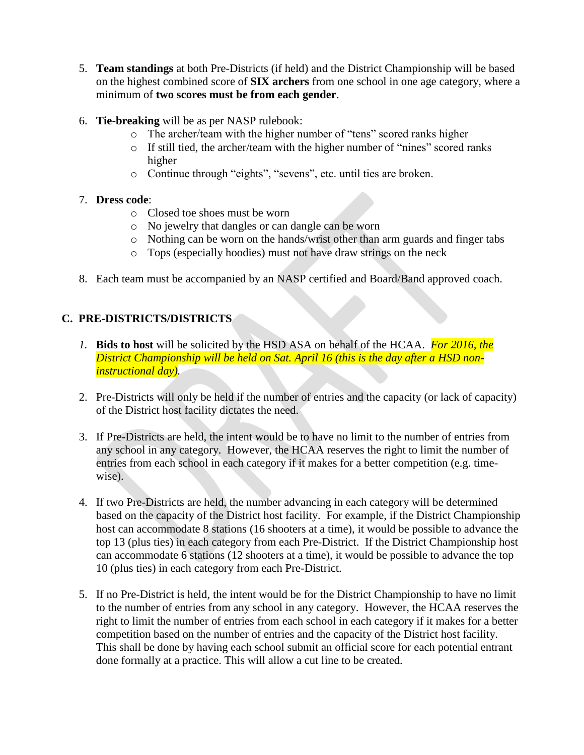- 5. **Team standings** at both Pre-Districts (if held) and the District Championship will be based on the highest combined score of **SIX archers** from one school in one age category, where a minimum of **two scores must be from each gender**.
- 6. **Tie-breaking** will be as per NASP rulebook:
	- o The archer/team with the higher number of "tens" scored ranks higher
	- o If still tied, the archer/team with the higher number of "nines" scored ranks higher
	- o Continue through "eights", "sevens", etc. until ties are broken.

### 7. **Dress code**:

- o Closed toe shoes must be worn
- o No jewelry that dangles or can dangle can be worn
- o Nothing can be worn on the hands/wrist other than arm guards and finger tabs
- o Tops (especially hoodies) must not have draw strings on the neck
- 8. Each team must be accompanied by an NASP certified and Board/Band approved coach.

# **C. PRE-DISTRICTS/DISTRICTS**

- *1.* **Bids to host** will be solicited by the HSD ASA on behalf of the HCAA. *For 2016, the District Championship will be held on Sat. April 16 (this is the day after a HSD noninstructional day).*
- 2. Pre-Districts will only be held if the number of entries and the capacity (or lack of capacity) of the District host facility dictates the need.
- 3. If Pre-Districts are held, the intent would be to have no limit to the number of entries from any school in any category. However, the HCAA reserves the right to limit the number of entries from each school in each category if it makes for a better competition (e.g. timewise).
- 4. If two Pre-Districts are held, the number advancing in each category will be determined based on the capacity of the District host facility. For example, if the District Championship host can accommodate 8 stations (16 shooters at a time), it would be possible to advance the top 13 (plus ties) in each category from each Pre-District. If the District Championship host can accommodate 6 stations (12 shooters at a time), it would be possible to advance the top 10 (plus ties) in each category from each Pre-District.
- 5. If no Pre-District is held, the intent would be for the District Championship to have no limit to the number of entries from any school in any category. However, the HCAA reserves the right to limit the number of entries from each school in each category if it makes for a better competition based on the number of entries and the capacity of the District host facility. This shall be done by having each school submit an official score for each potential entrant done formally at a practice. This will allow a cut line to be created.